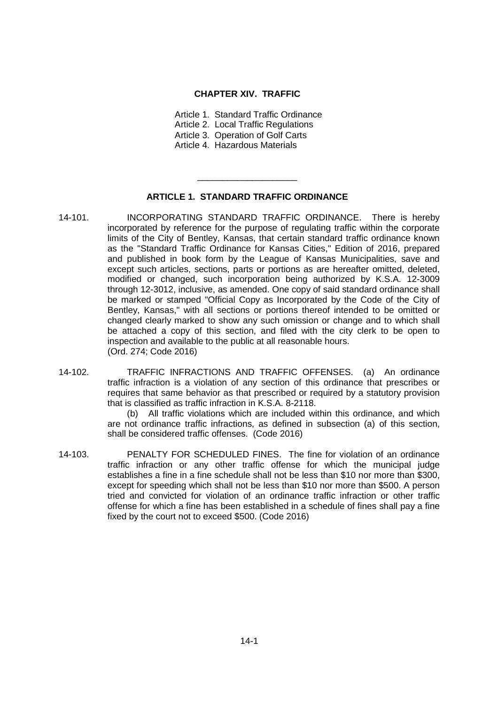#### **CHAPTER XIV. TRAFFIC**

Article 1. Standard Traffic Ordinance Article 2. Local Traffic Regulations Article 3. Operation of Golf Carts

Article 4. Hazardous Materials

#### **ARTICLE 1. STANDARD TRAFFIC ORDINANCE**

\_\_\_\_\_\_\_\_\_\_\_\_\_\_\_\_\_\_\_\_

- 14-101. INCORPORATING STANDARD TRAFFIC ORDINANCE. There is hereby incorporated by reference for the purpose of regulating traffic within the corporate limits of the City of Bentley, Kansas, that certain standard traffic ordinance known as the "Standard Traffic Ordinance for Kansas Cities," Edition of 2016, prepared and published in book form by the League of Kansas Municipalities, save and except such articles, sections, parts or portions as are hereafter omitted, deleted, modified or changed, such incorporation being authorized by K.S.A. 12-3009 through 12-3012, inclusive, as amended. One copy of said standard ordinance shall be marked or stamped "Official Copy as Incorporated by the Code of the City of Bentley, Kansas," with all sections or portions thereof intended to be omitted or changed clearly marked to show any such omission or change and to which shall be attached a copy of this section, and filed with the city clerk to be open to inspection and available to the public at all reasonable hours. (Ord. 274; Code 2016)
- 14-102. TRAFFIC INFRACTIONS AND TRAFFIC OFFENSES. (a) An ordinance traffic infraction is a violation of any section of this ordinance that prescribes or requires that same behavior as that prescribed or required by a statutory provision that is classified as traffic infraction in K.S.A. 8-2118.

(b) All traffic violations which are included within this ordinance, and which are not ordinance traffic infractions, as defined in subsection (a) of this section, shall be considered traffic offenses. (Code 2016)

14-103. PENALTY FOR SCHEDULED FINES. The fine for violation of an ordinance traffic infraction or any other traffic offense for which the municipal judge establishes a fine in a fine schedule shall not be less than \$10 nor more than \$300, except for speeding which shall not be less than \$10 nor more than \$500. A person tried and convicted for violation of an ordinance traffic infraction or other traffic offense for which a fine has been established in a schedule of fines shall pay a fine fixed by the court not to exceed \$500. (Code 2016)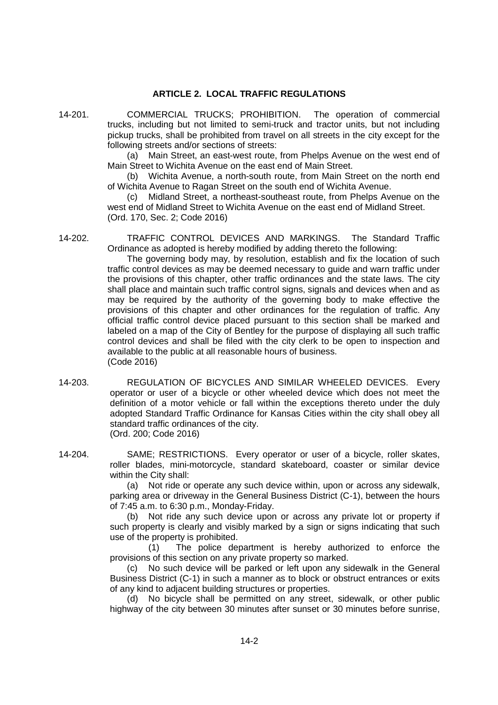# **ARTICLE 2. LOCAL TRAFFIC REGULATIONS**

14-201. COMMERCIAL TRUCKS; PROHIBITION. The operation of commercial trucks, including but not limited to semi-truck and tractor units, but not including pickup trucks, shall be prohibited from travel on all streets in the city except for the following streets and/or sections of streets:

(a) Main Street, an east-west route, from Phelps Avenue on the west end of Main Street to Wichita Avenue on the east end of Main Street.

(b) Wichita Avenue, a north-south route, from Main Street on the north end of Wichita Avenue to Ragan Street on the south end of Wichita Avenue.

(c) Midland Street, a northeast-southeast route, from Phelps Avenue on the west end of Midland Street to Wichita Avenue on the east end of Midland Street. (Ord. 170, Sec. 2; Code 2016)

14-202. TRAFFIC CONTROL DEVICES AND MARKINGS. The Standard Traffic Ordinance as adopted is hereby modified by adding thereto the following:

> The governing body may, by resolution, establish and fix the location of such traffic control devices as may be deemed necessary to guide and warn traffic under the provisions of this chapter, other traffic ordinances and the state laws. The city shall place and maintain such traffic control signs, signals and devices when and as may be required by the authority of the governing body to make effective the provisions of this chapter and other ordinances for the regulation of traffic. Any official traffic control device placed pursuant to this section shall be marked and labeled on a map of the City of Bentley for the purpose of displaying all such traffic control devices and shall be filed with the city clerk to be open to inspection and available to the public at all reasonable hours of business. (Code 2016)

- 14-203. REGULATION OF BICYCLES AND SIMILAR WHEELED DEVICES. Every operator or user of a bicycle or other wheeled device which does not meet the definition of a motor vehicle or fall within the exceptions thereto under the duly adopted Standard Traffic Ordinance for Kansas Cities within the city shall obey all standard traffic ordinances of the city. (Ord. 200; Code 2016)
- 14-204. SAME; RESTRICTIONS. Every operator or user of a bicycle, roller skates, roller blades, mini-motorcycle, standard skateboard, coaster or similar device within the City shall:

(a) Not ride or operate any such device within, upon or across any sidewalk, parking area or driveway in the General Business District (C-1), between the hours of 7:45 a.m. to 6:30 p.m., Monday-Friday.

(b) Not ride any such device upon or across any private lot or property if such property is clearly and visibly marked by a sign or signs indicating that such use of the property is prohibited.

(1) The police department is hereby authorized to enforce the provisions of this section on any private property so marked.

(c) No such device will be parked or left upon any sidewalk in the General Business District (C-1) in such a manner as to block or obstruct entrances or exits of any kind to adjacent building structures or properties.

(d) No bicycle shall be permitted on any street, sidewalk, or other public highway of the city between 30 minutes after sunset or 30 minutes before sunrise,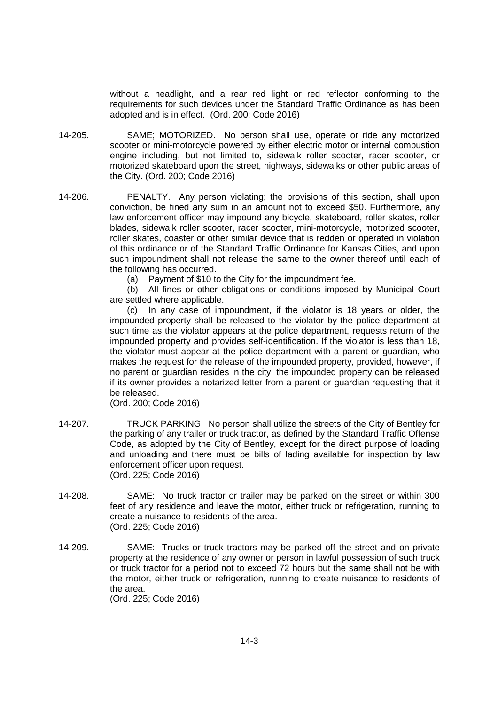without a headlight, and a rear red light or red reflector conforming to the requirements for such devices under the Standard Traffic Ordinance as has been adopted and is in effect. (Ord. 200; Code 2016)

- 14-205. SAME; MOTORIZED. No person shall use, operate or ride any motorized scooter or mini-motorcycle powered by either electric motor or internal combustion engine including, but not limited to, sidewalk roller scooter, racer scooter, or motorized skateboard upon the street, highways, sidewalks or other public areas of the City. (Ord. 200; Code 2016)
- 14-206. PENALTY. Any person violating; the provisions of this section, shall upon conviction, be fined any sum in an amount not to exceed \$50. Furthermore, any law enforcement officer may impound any bicycle, skateboard, roller skates, roller blades, sidewalk roller scooter, racer scooter, mini-motorcycle, motorized scooter, roller skates, coaster or other similar device that is redden or operated in violation of this ordinance or of the Standard Traffic Ordinance for Kansas Cities, and upon such impoundment shall not release the same to the owner thereof until each of the following has occurred.

(a) Payment of \$10 to the City for the impoundment fee.

(b) All fines or other obligations or conditions imposed by Municipal Court are settled where applicable.

(c) In any case of impoundment, if the violator is 18 years or older, the impounded property shall be released to the violator by the police department at such time as the violator appears at the police department, requests return of the impounded property and provides self-identification. If the violator is less than 18, the violator must appear at the police department with a parent or guardian, who makes the request for the release of the impounded property, provided, however, if no parent or guardian resides in the city, the impounded property can be released if its owner provides a notarized letter from a parent or guardian requesting that it be released.

(Ord. 200; Code 2016)

- 14-207. TRUCK PARKING. No person shall utilize the streets of the City of Bentley for the parking of any trailer or truck tractor, as defined by the Standard Traffic Offense Code, as adopted by the City of Bentley, except for the direct purpose of loading and unloading and there must be bills of lading available for inspection by law enforcement officer upon request. (Ord. 225; Code 2016)
- 14-208. SAME: No truck tractor or trailer may be parked on the street or within 300 feet of any residence and leave the motor, either truck or refrigeration, running to create a nuisance to residents of the area. (Ord. 225; Code 2016)
- 14-209. SAME: Trucks or truck tractors may be parked off the street and on private property at the residence of any owner or person in lawful possession of such truck or truck tractor for a period not to exceed 72 hours but the same shall not be with the motor, either truck or refrigeration, running to create nuisance to residents of the area. (Ord. 225; Code 2016)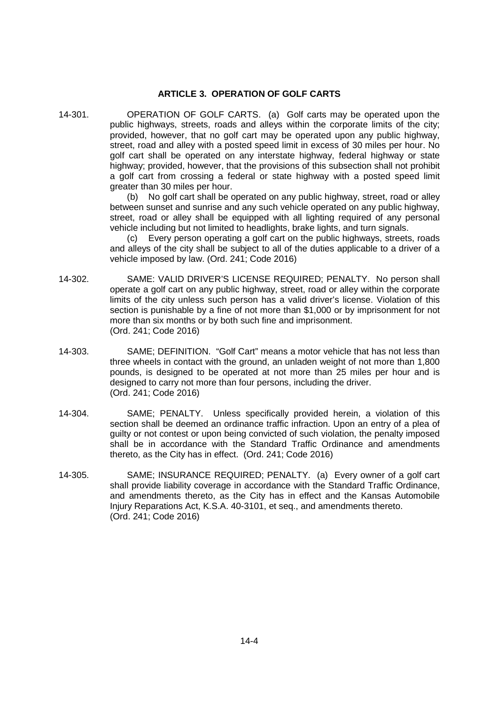# **ARTICLE 3. OPERATION OF GOLF CARTS**

14-301. OPERATION OF GOLF CARTS. (a) Golf carts may be operated upon the public highways, streets, roads and alleys within the corporate limits of the city; provided, however, that no golf cart may be operated upon any public highway, street, road and alley with a posted speed limit in excess of 30 miles per hour. No golf cart shall be operated on any interstate highway, federal highway or state highway; provided, however, that the provisions of this subsection shall not prohibit a golf cart from crossing a federal or state highway with a posted speed limit greater than 30 miles per hour.

(b) No golf cart shall be operated on any public highway, street, road or alley between sunset and sunrise and any such vehicle operated on any public highway, street, road or alley shall be equipped with all lighting required of any personal vehicle including but not limited to headlights, brake lights, and turn signals.

(c) Every person operating a golf cart on the public highways, streets, roads and alleys of the city shall be subject to all of the duties applicable to a driver of a vehicle imposed by law. (Ord. 241; Code 2016)

- 14-302. SAME: VALID DRIVER'S LICENSE REQUIRED; PENALTY. No person shall operate a golf cart on any public highway, street, road or alley within the corporate limits of the city unless such person has a valid driver's license. Violation of this section is punishable by a fine of not more than \$1,000 or by imprisonment for not more than six months or by both such fine and imprisonment. (Ord. 241; Code 2016)
- 14-303. SAME; DEFINITION. "Golf Cart" means a motor vehicle that has not less than three wheels in contact with the ground, an unladen weight of not more than 1,800 pounds, is designed to be operated at not more than 25 miles per hour and is designed to carry not more than four persons, including the driver. (Ord. 241; Code 2016)
- 14-304. SAME; PENALTY. Unless specifically provided herein, a violation of this section shall be deemed an ordinance traffic infraction. Upon an entry of a plea of guilty or not contest or upon being convicted of such violation, the penalty imposed shall be in accordance with the Standard Traffic Ordinance and amendments thereto, as the City has in effect. (Ord. 241; Code 2016)
- 14-305. SAME; INSURANCE REQUIRED; PENALTY. (a) Every owner of a golf cart shall provide liability coverage in accordance with the Standard Traffic Ordinance, and amendments thereto, as the City has in effect and the Kansas Automobile Injury Reparations Act, K.S.A. 40-3101, et seq., and amendments thereto. (Ord. 241; Code 2016)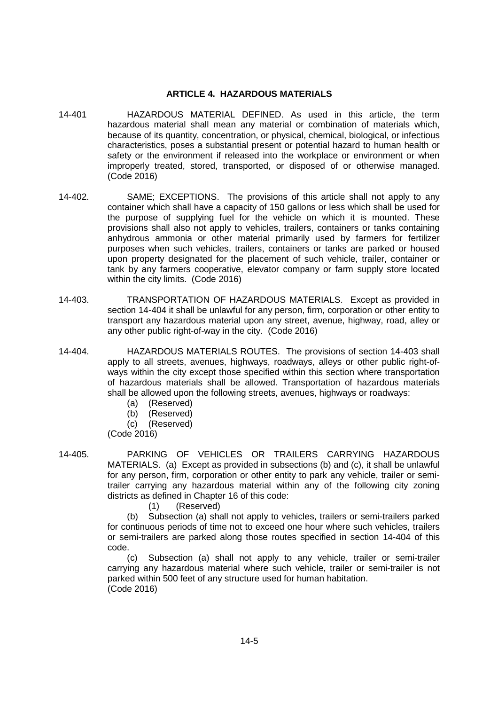### **ARTICLE 4. HAZARDOUS MATERIALS**

- 14-401 HAZARDOUS MATERIAL DEFINED. As used in this article, the term hazardous material shall mean any material or combination of materials which, because of its quantity, concentration, or physical, chemical, biological, or infectious characteristics, poses a substantial present or potential hazard to human health or safety or the environment if released into the workplace or environment or when improperly treated, stored, transported, or disposed of or otherwise managed. (Code 2016)
- 14-402. SAME; EXCEPTIONS. The provisions of this article shall not apply to any container which shall have a capacity of 150 gallons or less which shall be used for the purpose of supplying fuel for the vehicle on which it is mounted. These provisions shall also not apply to vehicles, trailers, containers or tanks containing anhydrous ammonia or other material primarily used by farmers for fertilizer purposes when such vehicles, trailers, containers or tanks are parked or housed upon property designated for the placement of such vehicle, trailer, container or tank by any farmers cooperative, elevator company or farm supply store located within the city limits. (Code 2016)
- 14-403. TRANSPORTATION OF HAZARDOUS MATERIALS. Except as provided in section 14-404 it shall be unlawful for any person, firm, corporation or other entity to transport any hazardous material upon any street, avenue, highway, road, alley or any other public right-of-way in the city. (Code 2016)
- 14-404. HAZARDOUS MATERIALS ROUTES. The provisions of section 14-403 shall apply to all streets, avenues, highways, roadways, alleys or other public right-ofways within the city except those specified within this section where transportation of hazardous materials shall be allowed. Transportation of hazardous materials shall be allowed upon the following streets, avenues, highways or roadways:
	- (a) (Reserved)
	- (b) (Reserved)
	- (c) (Reserved)

(Code 2016)

14-405. PARKING OF VEHICLES OR TRAILERS CARRYING HAZARDOUS MATERIALS. (a) Except as provided in subsections (b) and (c), it shall be unlawful for any person, firm, corporation or other entity to park any vehicle, trailer or semitrailer carrying any hazardous material within any of the following city zoning districts as defined in Chapter 16 of this code:

(1) (Reserved)

(b) Subsection (a) shall not apply to vehicles, trailers or semi-trailers parked for continuous periods of time not to exceed one hour where such vehicles, trailers or semi-trailers are parked along those routes specified in section 14-404 of this code.

(c) Subsection (a) shall not apply to any vehicle, trailer or semi-trailer carrying any hazardous material where such vehicle, trailer or semi-trailer is not parked within 500 feet of any structure used for human habitation. (Code 2016)